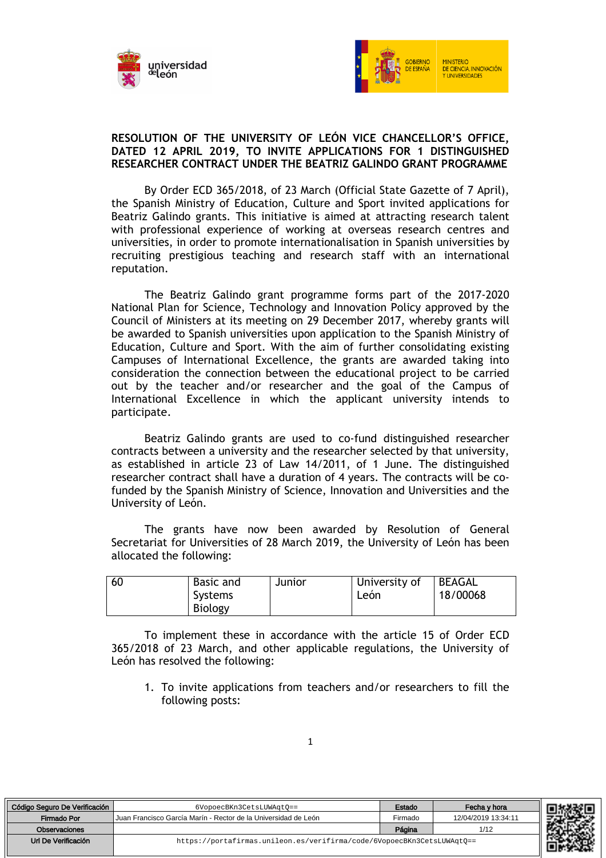



#### **RESOLUTION OF THE UNIVERSITY OF LEÓN VICE CHANCELLOR'S OFFICE, DATED 12 APRIL 2019, TO INVITE APPLICATIONS FOR 1 DISTINGUISHED RESEARCHER CONTRACT UNDER THE BEATRIZ GALINDO GRANT PROGRAMME**

By Order ECD 365/2018, of 23 March (Official State Gazette of 7 April), the Spanish Ministry of Education, Culture and Sport invited applications for Beatriz Galindo grants. This initiative is aimed at attracting research talent with professional experience of working at overseas research centres and universities, in order to promote internationalisation in Spanish universities by recruiting prestigious teaching and research staff with an international reputation.

The Beatriz Galindo grant programme forms part of the 2017-2020 National Plan for Science, Technology and Innovation Policy approved by the Council of Ministers at its meeting on 29 December 2017, whereby grants will be awarded to Spanish universities upon application to the Spanish Ministry of Education, Culture and Sport. With the aim of further consolidating existing Campuses of International Excellence, the grants are awarded taking into consideration the connection between the educational project to be carried out by the teacher and/or researcher and the goal of the Campus of International Excellence in which the applicant university intends to participate.

Beatriz Galindo grants are used to co-fund distinguished researcher contracts between a university and the researcher selected by that university, as established in article 23 of Law 14/2011, of 1 June. The distinguished researcher contract shall have a duration of 4 years. The contracts will be cofunded by the Spanish Ministry of Science, Innovation and Universities and the University of León.

The grants have now been awarded by Resolution of General Secretariat for Universities of 28 March 2019, the University of León has been allocated the following:

| 60 | Basic and<br>Systems<br>Biology | Junior | University of<br>Leon | <b>BEAGAL</b><br>18/00068 |  |
|----|---------------------------------|--------|-----------------------|---------------------------|--|
|----|---------------------------------|--------|-----------------------|---------------------------|--|

To implement these in accordance with the article 15 of Order ECD 365/2018 of 23 March, and other applicable regulations, the University of León has resolved the following:

1. To invite applications from teachers and/or researchers to fill the following posts:

| Código Seguro De Verificación | 6VopoecBKn3CetsLUWAqt0 ==                                              | Estado  | Fecha y hora        |
|-------------------------------|------------------------------------------------------------------------|---------|---------------------|
| Firmado Por                   | Juan Francisco García Marín - Rector de la Universidad de León         | Firmado | 12/04/2019 13:34:11 |
| Observaciones                 |                                                                        | Página  | 1/12                |
| Url De Verificación           | https://portafirmas.unileon.es/verifirma/code/6VopoecBKn3CetsLUWAqt0== |         |                     |

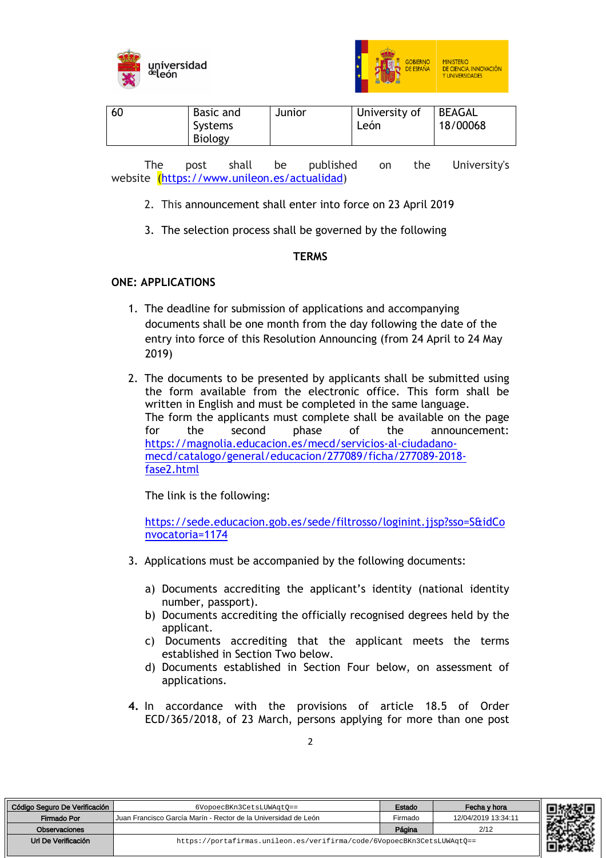



| BEAGAL<br>University of<br>18/00068<br>Systems<br>León<br>Biology |
|-------------------------------------------------------------------|
|-------------------------------------------------------------------|

The post shall be published on the University's website (https://www.unileon.es/actualidad)

- 2. This announcement shall enter into force on 23 April 2019
- 3. The selection process shall be governed by the following

#### **TERMS**

# **ONE: APPLICATIONS**

- 1. The deadline for submission of applications and accompanying documents shall be one month from the day following the date of the entry into force of this Resolution Announcing (from 24 April to 24 May 2019)
- 2. The documents to be presented by applicants shall be submitted using the form available from the electronic office. This form shall be written in English and must be completed in the same language. The form the applicants must complete shall be available on the page for the second phase of the announcement: https://magnolia.educacion.es/mecd/servicios-al-ciudadanomecd/catalogo/general/educacion/277089/ficha/277089-2018 fase2.html

The link is the following:

https://sede.educacion.gob.es/sede/filtrosso/loginint.jjsp?sso=S&idCo nvocatoria=1174

- 3. Applications must be accompanied by the following documents:
	- a) Documents accrediting the applicant's identity (national identity number, passport).
	- b) Documents accrediting the officially recognised degrees held by the applicant.
	- c) Documents accrediting that the applicant meets the terms established in Section Two below.
	- d) Documents established in Section Four below, on assessment of applications.
- **4.** In accordance with the provisions of article 18.5 of Order ECD/365/2018, of 23 March, persons applying for more than one post

| Código Seguro De Verificación | 6VopoecBKn3CetsLUWAqt0 ==                                              | Estado  | Fecha v hora        |
|-------------------------------|------------------------------------------------------------------------|---------|---------------------|
| Firmado Por                   | Uuan Francisco García Marín - Rector de la Universidad de León         | Firmado | 12/04/2019 13:34:11 |
| <b>Observaciones</b>          |                                                                        | Página  | 2/12                |
| Url De Verificación           | https://portafirmas.unileon.es/verifirma/code/6VopoecBKn3CetsLUWAqt0== |         |                     |

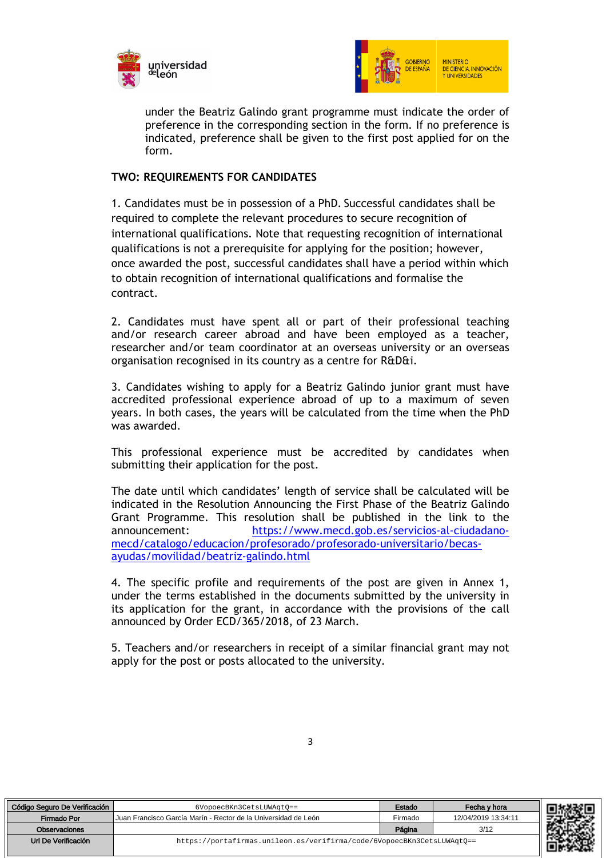



under the Beatriz Galindo grant programme must indicate the order of preference in the corresponding section in the form. If no preference is indicated, preference shall be given to the first post applied for on the form.

#### **TWO: REQUIREMENTS FOR CANDIDATES**

1. Candidates must be in possession of a PhD. Successful candidates shall be required to complete the relevant procedures to secure recognition of international qualifications. Note that requesting recognition of international qualifications is not a prerequisite for applying for the position; however, once awarded the post, successful candidates shall have a period within which to obtain recognition of international qualifications and formalise the contract.

2. Candidates must have spent all or part of their professional teaching and/or research career abroad and have been employed as a teacher, researcher and/or team coordinator at an overseas university or an overseas organisation recognised in its country as a centre for R&D&i.

3. Candidates wishing to apply for a Beatriz Galindo junior grant must have accredited professional experience abroad of up to a maximum of seven years. In both cases, the years will be calculated from the time when the PhD was awarded.

This professional experience must be accredited by candidates when submitting their application for the post.

The date until which candidates' length of service shall be calculated will be indicated in the Resolution Announcing the First Phase of the Beatriz Galindo Grant Programme. This resolution shall be published in the link to the announcement: https://www.mecd.gob.es/servicios-al-ciudadanomecd/catalogo/educacion/profesorado/profesorado-universitario/becasayudas/movilidad/beatriz-galindo.html

4. The specific profile and requirements of the post are given in Annex 1, under the terms established in the documents submitted by the university in its application for the grant, in accordance with the provisions of the call announced by Order ECD/365/2018, of 23 March.

5. Teachers and/or researchers in receipt of a similar financial grant may not apply for the post or posts allocated to the university.

| Código Seguro De Verificación | 6VopoecBKn3CetsLUWAqt0 ==                                              | Estado  | Fecha y hora        |  |
|-------------------------------|------------------------------------------------------------------------|---------|---------------------|--|
| Firmado Por                   | Juan Francisco García Marín - Rector de la Universidad de León         | Firmado | 12/04/2019 13:34:11 |  |
| Observaciones                 |                                                                        | Página  | 3/12                |  |
| Url De Verificación           | https://portafirmas.unileon.es/verifirma/code/6VopoecBKn3CetsLUWAqt0== |         |                     |  |

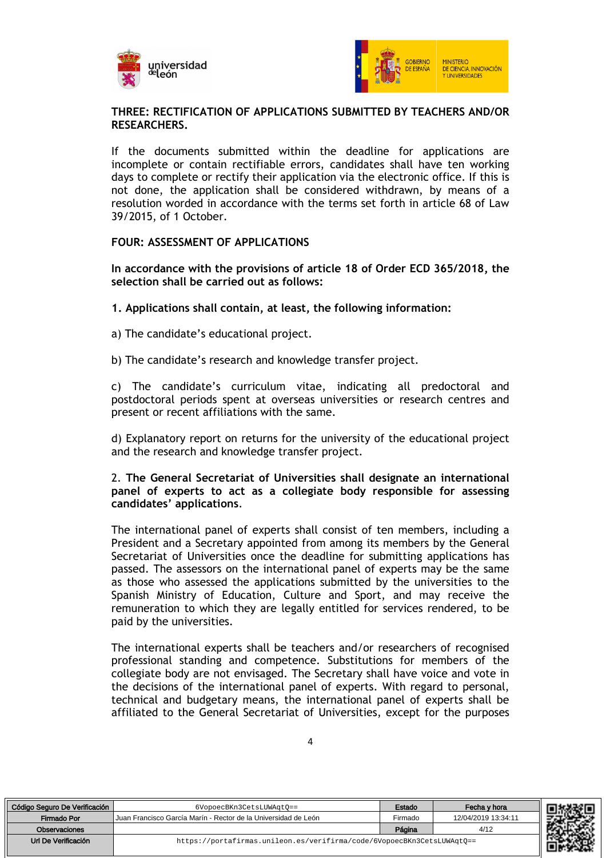



#### **THREE: RECTIFICATION OF APPLICATIONS SUBMITTED BY TEACHERS AND/OR RESEARCHERS.**

If the documents submitted within the deadline for applications are incomplete or contain rectifiable errors, candidates shall have ten working days to complete or rectify their application via the electronic office. If this is not done, the application shall be considered withdrawn, by means of a resolution worded in accordance with the terms set forth in article 68 of Law 39/2015, of 1 October.

#### **FOUR: ASSESSMENT OF APPLICATIONS**

**In accordance with the provisions of article 18 of Order ECD 365/2018, the selection shall be carried out as follows:**

- **1. Applications shall contain, at least, the following information:**
- a) The candidate's educational project.
- b) The candidate's research and knowledge transfer project.

c) The candidate's curriculum vitae, indicating all predoctoral and postdoctoral periods spent at overseas universities or research centres and present or recent affiliations with the same.

d) Explanatory report on returns for the university of the educational project and the research and knowledge transfer project.

#### 2. **The General Secretariat of Universities shall designate an international panel of experts to act as a collegiate body responsible for assessing candidates' applications**.

The international panel of experts shall consist of ten members, including a President and a Secretary appointed from among its members by the General Secretariat of Universities once the deadline for submitting applications has passed. The assessors on the international panel of experts may be the same as those who assessed the applications submitted by the universities to the Spanish Ministry of Education, Culture and Sport, and may receive the remuneration to which they are legally entitled for services rendered, to be paid by the universities.

The international experts shall be teachers and/or researchers of recognised professional standing and competence. Substitutions for members of the collegiate body are not envisaged. The Secretary shall have voice and vote in the decisions of the international panel of experts. With regard to personal, technical and budgetary means, the international panel of experts shall be affiliated to the General Secretariat of Universities, except for the purposes

| Código Seguro De Verificación | 6VopoecBKn3CetsLUWAgtO==                                               | Estado  | Fecha v hora        | 744206 LE |
|-------------------------------|------------------------------------------------------------------------|---------|---------------------|-----------|
| Firmado Por                   | Uuan Francisco García Marín - Rector de la Universidad de León         | Firmado | 12/04/2019 13:34:11 |           |
| Observaciones                 |                                                                        | Página  | 4/12                |           |
| Url De Verificación           | https://portafirmas.unileon.es/verifirma/code/6VopoecBKn3CetsLUWAqt0== |         |                     |           |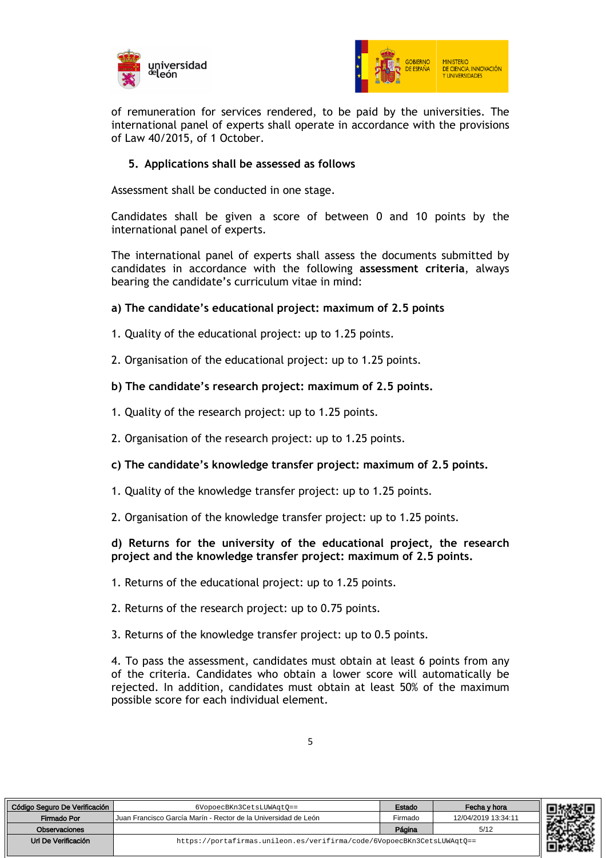



of remuneration for services rendered, to be paid by the universities. The international panel of experts shall operate in accordance with the provisions of Law 40/2015, of 1 October.

# **5. Applications shall be assessed as follows**

Assessment shall be conducted in one stage.

Candidates shall be given a score of between 0 and 10 points by the international panel of experts.

The international panel of experts shall assess the documents submitted by candidates in accordance with the following **assessment criteria**, always bearing the candidate's curriculum vitae in mind:

#### **a) The candidate's educational project: maximum of 2.5 points**

- 1. Quality of the educational project: up to 1.25 points.
- 2. Organisation of the educational project: up to 1.25 points.

#### **b) The candidate's research project: maximum of 2.5 points.**

- 1. Quality of the research project: up to 1.25 points.
- 2. Organisation of the research project: up to 1.25 points.

#### **c) The candidate's knowledge transfer project: maximum of 2.5 points.**

- 1. Quality of the knowledge transfer project: up to 1.25 points.
- 2. Organisation of the knowledge transfer project: up to 1.25 points.

#### **d) Returns for the university of the educational project, the research project and the knowledge transfer project: maximum of 2.5 points.**

- 1. Returns of the educational project: up to 1.25 points.
- 2. Returns of the research project: up to 0.75 points.
- 3. Returns of the knowledge transfer project: up to 0.5 points.

4. To pass the assessment, candidates must obtain at least 6 points from any of the criteria. Candidates who obtain a lower score will automatically be rejected. In addition, candidates must obtain at least 50% of the maximum possible score for each individual element.

| Código Seguro De Verificación | 6VopoecBKn3CetsLUWAqt0 ==                                              | Estado  | Fecha y hora        |
|-------------------------------|------------------------------------------------------------------------|---------|---------------------|
| Firmado Por                   | Juan Francisco García Marín - Rector de la Universidad de León         | Firmado | 12/04/2019 13:34:11 |
| Observaciones                 |                                                                        | Página  | 5/12                |
| Url De Verificación           | https://portafirmas.unileon.es/verifirma/code/6VopoecBKn3CetsLUWAqtO== |         |                     |

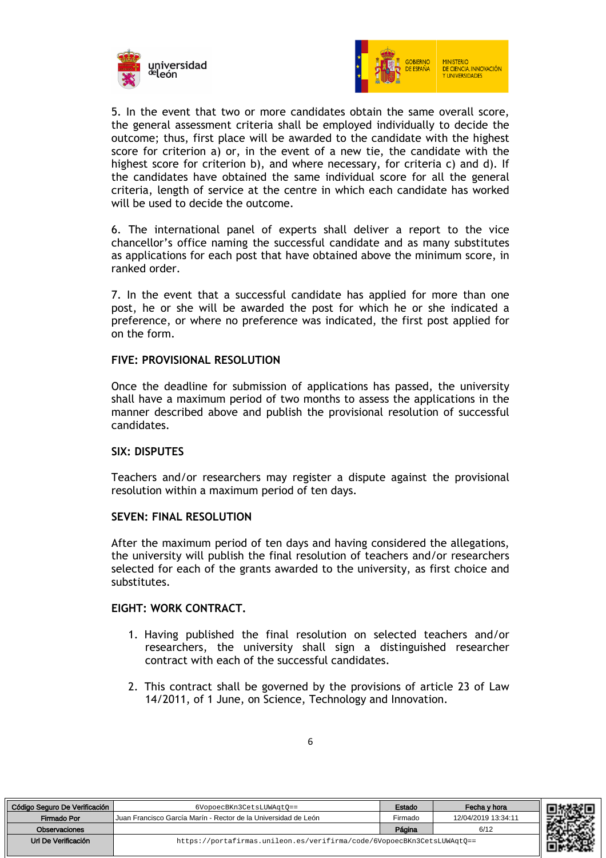



5. In the event that two or more candidates obtain the same overall score, the general assessment criteria shall be employed individually to decide the outcome; thus, first place will be awarded to the candidate with the highest score for criterion a) or, in the event of a new tie, the candidate with the highest score for criterion b), and where necessary, for criteria c) and d). If the candidates have obtained the same individual score for all the general criteria, length of service at the centre in which each candidate has worked will be used to decide the outcome.

6. The international panel of experts shall deliver a report to the vice chancellor's office naming the successful candidate and as many substitutes as applications for each post that have obtained above the minimum score, in ranked order.

7. In the event that a successful candidate has applied for more than one post, he or she will be awarded the post for which he or she indicated a preference, or where no preference was indicated, the first post applied for on the form.

#### **FIVE: PROVISIONAL RESOLUTION**

Once the deadline for submission of applications has passed, the university shall have a maximum period of two months to assess the applications in the manner described above and publish the provisional resolution of successful candidates.

#### **SIX: DISPUTES**

Teachers and/or researchers may register a dispute against the provisional resolution within a maximum period of ten days.

#### **SEVEN: FINAL RESOLUTION**

After the maximum period of ten days and having considered the allegations, the university will publish the final resolution of teachers and/or researchers selected for each of the grants awarded to the university, as first choice and substitutes.

#### **EIGHT: WORK CONTRACT.**

- 1. Having published the final resolution on selected teachers and/or researchers, the university shall sign a distinguished researcher contract with each of the successful candidates.
- 2. This contract shall be governed by the provisions of article 23 of Law 14/2011, of 1 June, on Science, Technology and Innovation.

| Código Seguro De Verificación | 6VopoecBKn3CetsLUWAqt0 ==                                              | Estado  | Fecha y hora        |
|-------------------------------|------------------------------------------------------------------------|---------|---------------------|
| Firmado Por                   | Uuan Francisco García Marín - Rector de la Universidad de León         | Firmado | 12/04/2019 13:34:11 |
| Observaciones                 |                                                                        | Página  | 6/12                |
| Url De Verificación           | https://portafirmas.unileon.es/verifirma/code/6VopoecBKn3CetsLUWAqt0== |         |                     |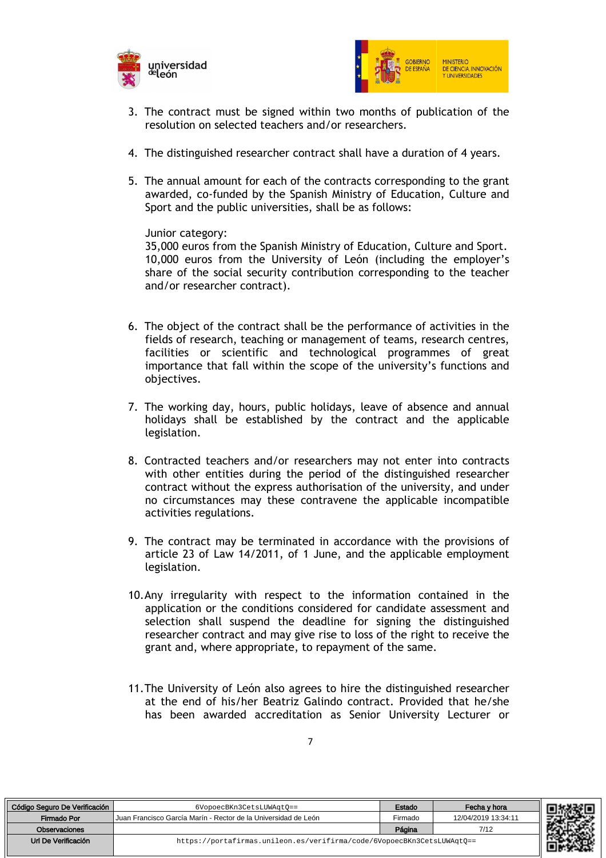



- 3. The contract must be signed within two months of publication of the resolution on selected teachers and/or researchers.
- 4. The distinguished researcher contract shall have a duration of 4 years.
- 5. The annual amount for each of the contracts corresponding to the grant awarded, co-funded by the Spanish Ministry of Education, Culture and Sport and the public universities, shall be as follows:

Junior category:

35,000 euros from the Spanish Ministry of Education, Culture and Sport. 10,000 euros from the University of León (including the employer's share of the social security contribution corresponding to the teacher and/or researcher contract).

- 6. The object of the contract shall be the performance of activities in the fields of research, teaching or management of teams, research centres, facilities or scientific and technological programmes of great importance that fall within the scope of the university's functions and objectives.
- 7. The working day, hours, public holidays, leave of absence and annual holidays shall be established by the contract and the applicable legislation.
- 8. Contracted teachers and/or researchers may not enter into contracts with other entities during the period of the distinguished researcher contract without the express authorisation of the university, and under no circumstances may these contravene the applicable incompatible activities regulations.
- 9. The contract may be terminated in accordance with the provisions of article 23 of Law 14/2011, of 1 June, and the applicable employment legislation.
- 10.Any irregularity with respect to the information contained in the application or the conditions considered for candidate assessment and selection shall suspend the deadline for signing the distinguished researcher contract and may give rise to loss of the right to receive the grant and, where appropriate, to repayment of the same.
- 11.The University of León also agrees to hire the distinguished researcher at the end of his/her Beatriz Galindo contract. Provided that he/she has been awarded accreditation as Senior University Lecturer or

| o Seguro De Verificación | 6VopoecBKn3CetsLUWAqt0 ==                                              | Estado  | Fecha y hora        | *********** |  |
|--------------------------|------------------------------------------------------------------------|---------|---------------------|-------------|--|
| Firmado Por              | Juan Francisco García Marín - Rector de la Universidad de León         | Firmado | 12/04/2019 13:34:11 |             |  |
| Observaciones            |                                                                        | Página  | 7/12                |             |  |
| Url De Verificación      | https://portafirmas.unileon.es/verifirma/code/6VopoecBKn3CetsLUWAqt0== |         |                     |             |  |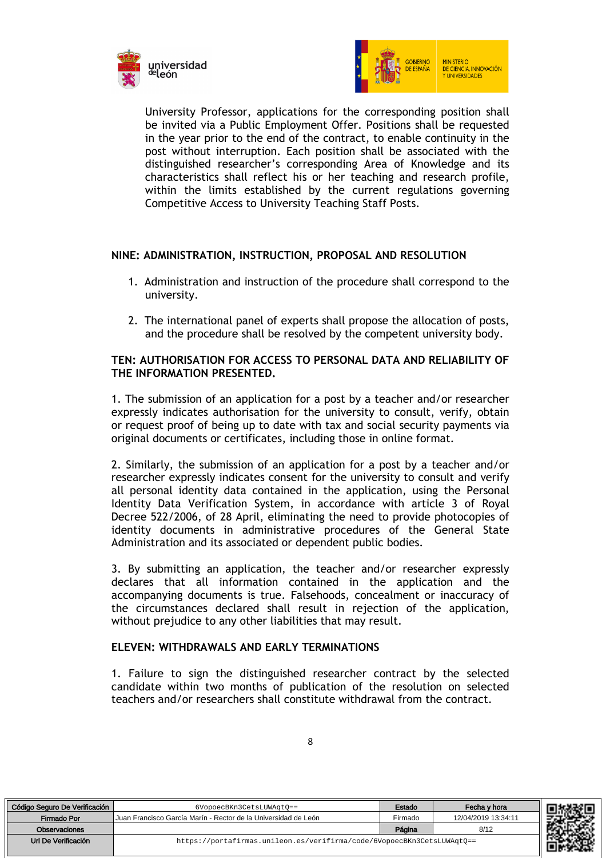



University Professor, applications for the corresponding position shall be invited via a Public Employment Offer. Positions shall be requested in the year prior to the end of the contract, to enable continuity in the post without interruption. Each position shall be associated with the distinguished researcher's corresponding Area of Knowledge and its characteristics shall reflect his or her teaching and research profile, within the limits established by the current regulations governing Competitive Access to University Teaching Staff Posts.

#### **NINE: ADMINISTRATION, INSTRUCTION, PROPOSAL AND RESOLUTION**

- 1. Administration and instruction of the procedure shall correspond to the university.
- 2. The international panel of experts shall propose the allocation of posts, and the procedure shall be resolved by the competent university body.

#### **TEN: AUTHORISATION FOR ACCESS TO PERSONAL DATA AND RELIABILITY OF THE INFORMATION PRESENTED.**

1. The submission of an application for a post by a teacher and/or researcher expressly indicates authorisation for the university to consult, verify, obtain or request proof of being up to date with tax and social security payments via original documents or certificates, including those in online format.

2. Similarly, the submission of an application for a post by a teacher and/or researcher expressly indicates consent for the university to consult and verify all personal identity data contained in the application, using the Personal Identity Data Verification System, in accordance with article 3 of Royal Decree 522/2006, of 28 April, eliminating the need to provide photocopies of identity documents in administrative procedures of the General State Administration and its associated or dependent public bodies.

3. By submitting an application, the teacher and/or researcher expressly declares that all information contained in the application and the accompanying documents is true. Falsehoods, concealment or inaccuracy of the circumstances declared shall result in rejection of the application, without prejudice to any other liabilities that may result.

#### **ELEVEN: WITHDRAWALS AND EARLY TERMINATIONS**

1. Failure to sign the distinguished researcher contract by the selected candidate within two months of publication of the resolution on selected teachers and/or researchers shall constitute withdrawal from the contract.

| Código Seguro De Verificación | 6VopoecBKn3CetsLUWAqt0==                                               | Estado  | Fecha v hora        |
|-------------------------------|------------------------------------------------------------------------|---------|---------------------|
| Firmado Por                   | Uuan Francisco García Marín - Rector de la Universidad de León         | Firmado | 12/04/2019 13:34:11 |
| Observaciones                 |                                                                        | Página  | 8/12                |
| Url De Verificación           | https://portafirmas.unileon.es/verifirma/code/6VopoecBKn3CetsLUWAqtQ== |         |                     |

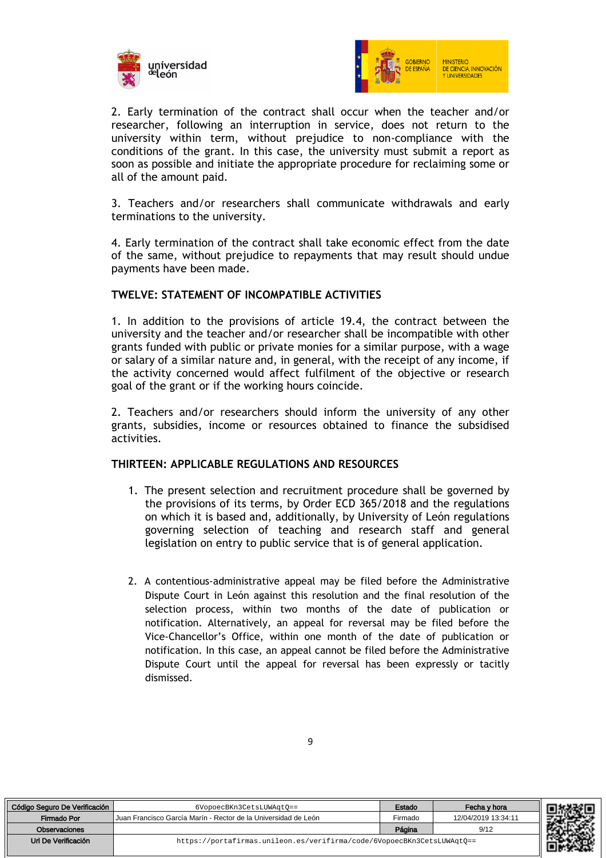



2. Early termination of the contract shall occur when the teacher and/or researcher, following an interruption in service, does not return to the university within term, without prejudice to non-compliance with the conditions of the grant. In this case, the university must submit a report as soon as possible and initiate the appropriate procedure for reclaiming some or all of the amount paid.

3. Teachers and/or researchers shall communicate withdrawals and early terminations to the university.

4. Early termination of the contract shall take economic effect from the date of the same, without prejudice to repayments that may result should undue payments have been made.

#### **TWELVE: STATEMENT OF INCOMPATIBLE ACTIVITIES**

1. In addition to the provisions of article 19.4, the contract between the university and the teacher and/or researcher shall be incompatible with other grants funded with public or private monies for a similar purpose, with a wage or salary of a similar nature and, in general, with the receipt of any income, if the activity concerned would affect fulfilment of the objective or research goal of the grant or if the working hours coincide.

2. Teachers and/or researchers should inform the university of any other grants, subsidies, income or resources obtained to finance the subsidised activities.

#### **THIRTEEN: APPLICABLE REGULATIONS AND RESOURCES**

- 1. The present selection and recruitment procedure shall be governed by the provisions of its terms, by Order ECD 365/2018 and the regulations on which it is based and, additionally, by University of León regulations governing selection of teaching and research staff and general legislation on entry to public service that is of general application.
- 2. A contentious-administrative appeal may be filed before the Administrative Dispute Court in León against this resolution and the final resolution of the selection process, within two months of the date of publication or notification. Alternatively, an appeal for reversal may be filed before the Vice-Chancellor's Office, within one month of the date of publication or notification. In this case, an appeal cannot be filed before the Administrative Dispute Court until the appeal for reversal has been expressly or tacitly dismissed.

| Código Seguro De Verificación | 6VopoecBKn3CetsLUWAqt0 ==                                              | Estado  | Fecha v hora        |  |
|-------------------------------|------------------------------------------------------------------------|---------|---------------------|--|
| Firmado Por                   | LJuan Francisco García Marín - Rector de la Universidad de León        | Firmado | 12/04/2019 13:34:11 |  |
| Observaciones                 |                                                                        | Página  | 9/12                |  |
| Url De Verificación           | https://portafirmas.unileon.es/verifirma/code/6VopoecBKn3CetsLUWAqtQ== |         |                     |  |

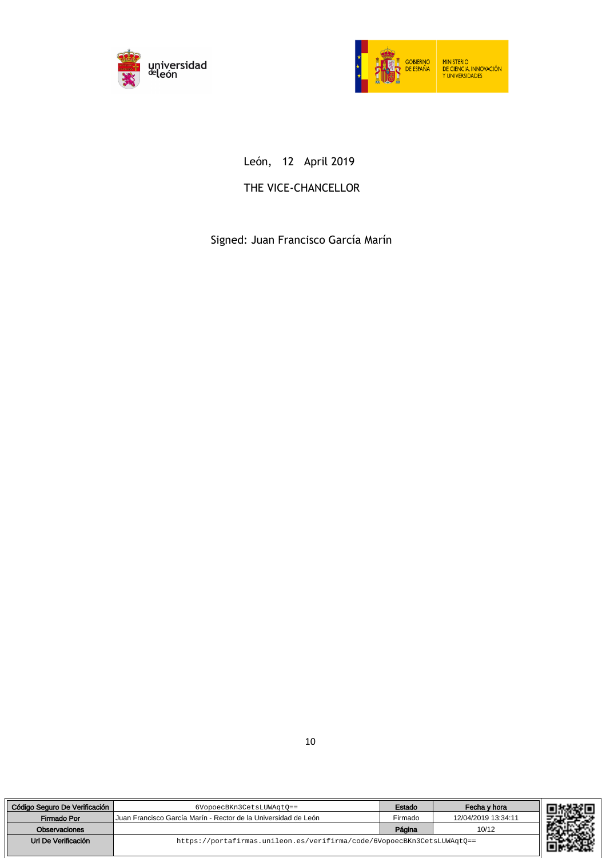



# León, 12 April 2019

# THE VICE-CHANCELLOR

Signed: Juan Francisco García Marín

| Código Seguro De Verificación | 6VopoecBKn3CetsLUWAqt0==                                               | Estado  | Fecha v hora        |  |
|-------------------------------|------------------------------------------------------------------------|---------|---------------------|--|
| Firmado Por                   | l Juan Francisco García Marín - Rector de la Universidad de León       | Firmado | 12/04/2019 13:34:11 |  |
| Observaciones                 |                                                                        | Página  | 10/12               |  |
| Url De Verificación           | https://portafirmas.unileon.es/verifirma/code/6VopoecBKn3CetsLUWAqt0== |         |                     |  |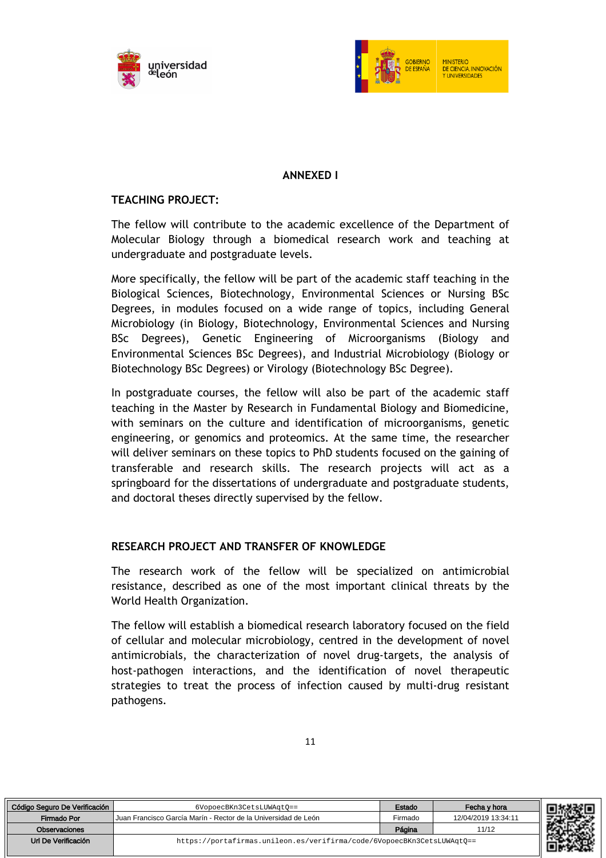



# **ANNEXED I**

### **TEACHING PROJECT:**

The fellow will contribute to the academic excellence of the Department of Molecular Biology through a biomedical research work and teaching at undergraduate and postgraduate levels.

More specifically, the fellow will be part of the academic staff teaching in the Biological Sciences, Biotechnology, Environmental Sciences or Nursing BSc Degrees, in modules focused on a wide range of topics, including General Microbiology (in Biology, Biotechnology, Environmental Sciences and Nursing BSc Degrees), Genetic Engineering of Microorganisms (Biology and Environmental Sciences BSc Degrees), and Industrial Microbiology (Biology or Biotechnology BSc Degrees) or Virology (Biotechnology BSc Degree).

In postgraduate courses, the fellow will also be part of the academic staff teaching in the Master by Research in Fundamental Biology and Biomedicine, with seminars on the culture and identification of microorganisms, genetic engineering, or genomics and proteomics. At the same time, the researcher will deliver seminars on these topics to PhD students focused on the gaining of transferable and research skills. The research projects will act as a springboard for the dissertations of undergraduate and postgraduate students, and doctoral theses directly supervised by the fellow.

#### **RESEARCH PROJECT AND TRANSFER OF KNOWLEDGE**

The research work of the fellow will be specialized on antimicrobial resistance, described as one of the most important clinical threats by the World Health Organization.

The fellow will establish a biomedical research laboratory focused on the field of cellular and molecular microbiology, centred in the development of novel antimicrobials, the characterization of novel drug-targets, the analysis of host-pathogen interactions, and the identification of novel therapeutic strategies to treat the process of infection caused by multi-drug resistant pathogens.

| Código Seguro De Verificación | 6VopoecBKn3CetsLUWAqt0 ==                                              | Estado  | Fecha v hora        |
|-------------------------------|------------------------------------------------------------------------|---------|---------------------|
| Firmado Por                   | Lluan Francisco García Marín - Rector de la Universidad de León        | Firmado | 12/04/2019 13:34:11 |
| <b>Observaciones</b>          |                                                                        | Página  | 11/12               |
| Url De Verificación           | https://portafirmas.unileon.es/verifirma/code/6VopoecBKn3CetsLUWAqt0== |         |                     |
|                               |                                                                        |         |                     |